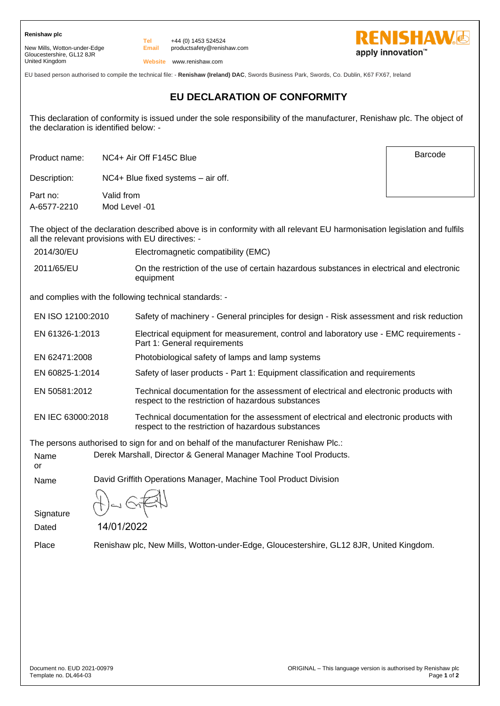**Renishaw plc**

New Mills, Wotton-under-Edge Gloucestershire, GL12 8JR United Kingdom

**Email** +44 (0) 1453 524524 productsafety@renishaw.com



Barcode

**Website** www.renishaw.com

**Tel**

EU based person authorised to compile the technical file: - **Renishaw (Ireland) DAC**, Swords Business Park, Swords, Co. Dublin, K67 FX67, Ireland

## **EU DECLARATION OF CONFORMITY**

This declaration of conformity is issued under the sole responsibility of the manufacturer, Renishaw plc. The object of the declaration is identified below: -

Product name: NC4+ Air Off F145C Blue

Description: NC4+ Blue fixed systems – air off.

Part no: Valid from A-6577-2210 Mod Level -01

The object of the declaration described above is in conformity with all relevant EU harmonisation legislation and fulfils all the relevant provisions with EU directives: -

2014/30/EU Electromagnetic compatibility (EMC)

2011/65/EU On the restriction of the use of certain hazardous substances in electrical and electronic equipment

and complies with the following technical standards: -

| EN ISO 12100:2010 | Safety of machinery - General principles for design - Risk assessment and risk reduction                                                    |
|-------------------|---------------------------------------------------------------------------------------------------------------------------------------------|
| EN 61326-1:2013   | Electrical equipment for measurement, control and laboratory use - EMC requirements -<br>Part 1: General requirements                       |
| EN 62471:2008     | Photobiological safety of lamps and lamp systems                                                                                            |
| EN 60825-1:2014   | Safety of laser products - Part 1: Equipment classification and requirements                                                                |
| EN 50581:2012     | Technical documentation for the assessment of electrical and electronic products with<br>respect to the restriction of hazardous substances |
| EN IEC 63000:2018 | Technical documentation for the assessment of electrical and electronic products with<br>respect to the restriction of hazardous substances |

The persons authorised to sign for and on behalf of the manufacturer Renishaw Plc.:

Name Derek Marshall, Director & General Manager Machine Tool Products.

or

Name David Griffith Operations Manager, Machine Tool Product Division

**Signature** Dated

14/01/2022

Place Renishaw plc, New Mills, Wotton-under-Edge, Gloucestershire, GL12 8JR, United Kingdom.